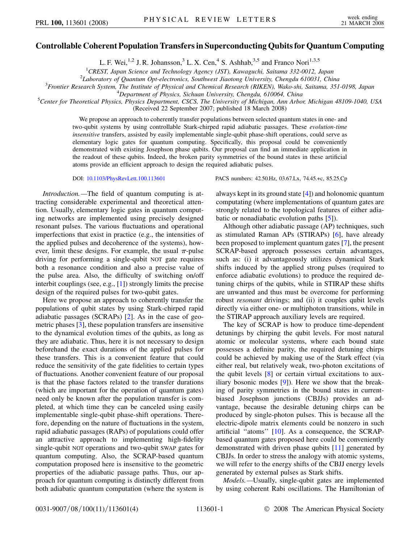## **Controllable Coherent Population Transfers in Superconducting Qubits for Quantum Computing**

L. F. Wei, <sup>1,2</sup> J. R. Johansson,<sup>3</sup> L. X. Cen,<sup>4</sup> S. Ashhab,<sup>3,5</sup> and Franco Nori<sup>1,3,5</sup>

<sup>1</sup> CREST, Japan Science and Technology Agency (JST), Kawaguchi, Saitama 332-0012, Japan<br><sup>2</sup> Jahoratory of Quantum Ont electronics, Southwest Jiaotona University Chanady 610031, Chi

*Laboratory of Quantum Opt-electronics, Southwest Jiaotong University, Chengdu 610031, China* <sup>3</sup>

*Frontier Research System, The Institute of Physical and Chemical Research (RIKEN), Wako-shi, Saitama, 351-0198, Japan* <sup>4</sup>

*Department of Physics, Sichuan University, Chengdu, 610064, China* <sup>5</sup>

*Center for Theoretical Physics, Physics Department, CSCS, The University of Michigan, Ann Arbor, Michigan 48109-1040, USA* (Received 22 September 2007; published 18 March 2008)

> We propose an approach to coherently transfer populations between selected quantum states in one- and two-qubit systems by using controllable Stark-chirped rapid adiabatic passages. These *evolution-time insensitive* transfers, assisted by easily implementable single-qubit phase-shift operations, could serve as elementary logic gates for quantum computing. Specifically, this proposal could be conveniently demonstrated with existing Josephson phase qubits. Our proposal can find an immediate application in the readout of these qubits. Indeed, the broken parity symmetries of the bound states in these artificial atoms provide an efficient approach to design the required adiabatic pulses.

*Introduction.—*The field of quantum computing is attracting considerable experimental and theoretical attention. Usually, elementary logic gates in quantum computing networks are implemented using precisely designed resonant pulses. The various fluctuations and operational imperfections that exist in practice (e.g., the intensities of the applied pulses and decoherence of the systems), however, limit these designs. For example, the usual  $\pi$ -pulse driving for performing a single-qubit NOT gate requires both a resonance condition and also a precise value of the pulse area. Also, the difficulty of switching on/off interbit couplings (see, e.g., [[1](#page-3-0)]) strongly limits the precise design of the required pulses for two-qubit gates.

Here we propose an approach to coherently transfer the populations of qubit states by using Stark-chirped rapid adiabatic passages (SCRAPs) [\[2](#page-3-1)]. As in the case of geometric phases [[3\]](#page-3-2), these population transfers are insensitive to the dynamical evolution times of the qubits, as long as they are adiabatic. Thus, here it is not necessary to design beforehand the exact durations of the applied pulses for these transfers. This is a convenient feature that could reduce the sensitivity of the gate fidelities to certain types of fluctuations. Another convenient feature of our proposal is that the phase factors related to the transfer durations (which are important for the operation of quantum gates) need only be known after the population transfer is completed, at which time they can be canceled using easily implementable single-qubit phase-shift operations. Therefore, depending on the nature of fluctuations in the system, rapid adiabatic passages (RAPs) of populations could offer an attractive approach to implementing high-fidelity single-qubit NOT operations and two-qubit SWAP gates for quantum computing. Also, the SCRAP-based quantum computation proposed here is insensitive to the geometric properties of the adiabatic passage paths. Thus, our approach for quantum computing is distinctly different from both adiabatic quantum computation (where the system is

DOI: [10.1103/PhysRevLett.100.113601](http://dx.doi.org/10.1103/PhysRevLett.100.113601) PACS numbers: 42.50.Hz, 03.67.Lx, 74.45.+c, 85.25.Cp

always kept in its ground state [[4](#page-3-3)]) and holonomic quantum computating (where implementations of quantum gates are strongly related to the topological features of either adiabatic or nonadiabatic evolution paths [[5](#page-3-4)]).

Although other adiabatic passage (AP) techniques, such as stimulated Raman APs (STIRAPs) [[6\]](#page-3-5), have already been proposed to implement quantum gates [\[7](#page-3-6)], the present SCRAP-based approach possesses certain advantages, such as: (i) it advantageously utilizes dynamical Stark shifts induced by the applied strong pulses (required to enforce adiabatic evolutions) to produce the required detuning chirps of the qubits, while in STIRAP these shifts are unwanted and thus must be overcome for performing robust *resonant* drivings; and (ii) it couples qubit levels directly via either one- or multiphoton transitions, while in the STIRAP approach auxiliary levels are required.

The key of SCRAP is how to produce time-dependent detunings by chirping the qubit levels. For most natural atomic or molecular systems, where each bound state possesses a definite parity, the required detuning chirps could be achieved by making use of the Stark effect (via either real, but relatively weak, two-photon excitations of the qubit levels [[8\]](#page-3-7) or certain virtual excitations to auxiliary bosonic modes [\[9](#page-3-8)]). Here we show that the breaking of parity symmetries in the bound states in currentbiased Josephson junctions (CBJJs) provides an advantage, because the desirable detuning chirps can be produced by single-photon pulses. This is because all the electric-dipole matrix elements could be nonzero in such artificial ''atoms'' [[10](#page-3-9)]. As a consequence, the SCRAPbased quantum gates proposed here could be conveniently demonstrated with driven phase qubits [[11](#page-3-10)] generated by CBJJs. In order to stress the analogy with atomic systems, we will refer to the energy shifts of the CBJJ energy levels generated by external pulses as Stark shifts.

*Models.—*Usually, single-qubit gates are implemented by using coherent Rabi oscillations. The Hamiltonian of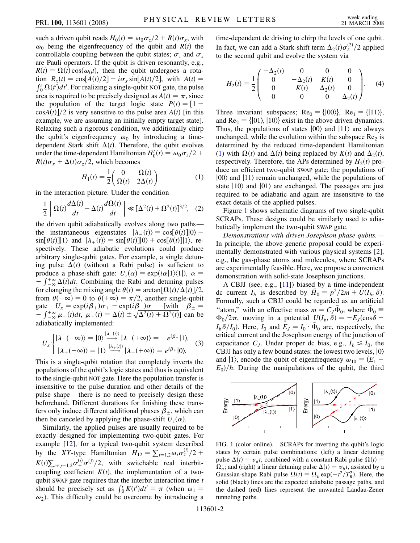such a driven qubit reads  $H_0(t) = \omega_0 \sigma_z/2 + R(t) \sigma_x$ , with  $\omega_0$  being the eigenfrequency of the qubit and *R*(*t*) the controllable coupling between the qubit states;  $\sigma_z$  and  $\sigma_x$ are Pauli operators. If the qubit is driven resonantly, e.g.,  $R(t) = \Omega(t) \cos(\omega_0 t)$ , then the qubit undergoes a rotation  $R_x(t) = \cos[A(t)/2] - i\sigma_x \sin[A(t)/2]$ , with  $A(t) =$  $\int_0^t \Omega(t')dt'$ . For realizing a single-qubit NOT gate, the pulse area is required to be precisely designed as  $A(t) = \pi$ , since the population of the target logic state  $P(t) = [1 \cos A(t)/2$  is very sensitive to the pulse area  $A(t)$  [in this example, we are assuming an initially empty target state]. Relaxing such a rigorous condition, we additionally chirp the qubit's eigenfrequency  $\omega_0$  by introducing a timedependent Stark shift  $\Delta(t)$ . Therefore, the qubit evolves under the time-dependent Hamiltonian  $H'_0(t) = \omega_0 \sigma_z/2 +$  $R(t)\sigma_x + \Delta(t)\sigma_z/2$ , which becomes

$$
H_1(t) = \frac{1}{2} \begin{pmatrix} 0 & \Omega(t) \\ \Omega(t) & 2\Delta(t) \end{pmatrix}
$$
 (1)

<span id="page-1-0"></span>in the interaction picture. Under the condition

$$
\frac{1}{2}\left|\Omega(t)\frac{d\Delta(t)}{dt} - \Delta(t)\frac{d\Omega(t)}{dt}\right| \ll [\Delta^{2}(t) + \Omega^{2}(t)]^{3/2}, \quad (2)
$$

the driven qubit adiabatically evolves along two paths the instantaneous eigenstates  $|\lambda_-(t)\rangle = \cos[\theta(t)]|0\rangle$  –  $\sin[\theta(t)]|1\rangle$  and  $|\lambda_+(t)\rangle = \sin[\theta(t)]|0\rangle + \cos[\theta(t)]|1\rangle$ , respectively. These adiabatic evolutions could produce arbitrary single-qubit gates. For example, a single detuning pulse  $\Delta(t)$  (without a Rabi pulse) is sufficient to produce a phase-shift gate:  $U_z(\alpha) = \exp(i\alpha|1\rangle\langle1|), \ \alpha =$ From a phase shift gate.  $\sigma_z(\alpha)$  expension,  $\alpha - \int_{-\infty}^{+\infty} \Delta(t) dt$ . Combining the Rabi and detuning pulses for changing the mixing angle  $\theta(t) = \arctan[\Omega(t)/\Delta(t)]/2$ , from  $\theta(-\infty) = 0$  to  $\theta(+\infty) = \pi/2$ , another single-qubit gate  $U_x = \exp(i\beta_+) \sigma_+ - \exp(i\beta_-) \sigma_-$  [with  $\beta_{\pm} =$  $\int_{-\infty}^{+\infty} \mu_{\pm}(t) dt$ ,  $\mu_{\pm}(t) = \Delta(t) \pm \sqrt{\Delta^{2}(t) + \Omega^{2}(t)}$  can be adiabatically implemented:

$$
U_x: \begin{cases} |\lambda_{-}(-\infty)\rangle = |0\rangle \stackrel{|\lambda_{-}(t)\rangle}{\longrightarrow} |\lambda_{-}(+\infty)\rangle = -e^{i\beta_{-}}|1\rangle, \\ |\lambda_{+}(-\infty)\rangle = |1\rangle \stackrel{|\lambda_{+}(t)\rangle}{\longrightarrow} |\lambda_{+}(+\infty)\rangle = e^{i\beta_{+}}|0\rangle. \end{cases}
$$
(3)

This is a single-qubit rotation that completely inverts the populations of the qubit's logic states and thus is equivalent to the single-qubit NOT gate. Here the population transfer is insensitive to the pulse duration and other details of the pulse shape—there is no need to precisely design these beforehand. Different durations for finishing these transfers only induce different additional phases  $\beta_{\pm}$ , which can then be canceled by applying the phase-shift  $U_z(\alpha)$ .

Similarly, the applied pulses are usually required to be exactly designed for implementing two-qubit gates. For example [[12](#page-3-11)], for a typical two-qubit system described by the *XY*-type Hamiltonian  $H_{12} = \sum_{i=1,2} \omega_i \sigma_z^{(i)}/2 + \sum_{i=1,2} \omega_i \sigma_z^{(i)}$  $K(t)\sum_{i\neq j=1,2}\sigma_{+}^{(i)}\sigma_{-}^{(j)}/2$ , with switchable real interbitcoupling coefficient  $K(t)$ , the implementation of a twoqubit SWAP gate requires that the interbit interaction time *t* should be precisely set as  $\int_0^t K(t')dt' = \pi$  (when  $\omega_1 =$  $\omega_2$ ). This difficulty could be overcome by introducing a time-dependent dc driving to chirp the levels of one qubit. In fact, we can add a Stark-shift term  $\Delta_2(t)\sigma_z^{(2)}/2$  applied to the second qubit and evolve the system via

$$
H_2(t) = \frac{1}{2} \begin{pmatrix} -\Delta_2(t) & 0 & 0 & 0 \\ 0 & -\Delta_2(t) & K(t) & 0 \\ 0 & K(t) & \Delta_2(t) & 0 \\ 0 & 0 & 0 & \Delta_2(t) \end{pmatrix}.
$$
 (4)

Three invariant subspaces; Re<sub>0</sub> = { $|00\rangle$ }, Re<sub>1</sub> = { $|11\rangle$ }, and  $\text{Re}_2 = \{ |01\rangle, |10\rangle \}$  exist in the above driven dynamics. Thus, the populations of states  $|00\rangle$  and  $|11\rangle$  are always unchanged, while the evolution within the subspace  $\text{Re}_2$  is determined by the reduced time-dependent Hamiltonian [\(1\)](#page-1-0) with  $\Omega(t)$  and  $\Delta(t)$  being replaced by  $K(t)$  and  $\Delta_2(t)$ , respectively. Therefore, the APs determined by  $H_2(t)$  produce an efficient two-qubit SWAP gate; the populations of  $|00\rangle$  and  $|11\rangle$  remain unchanged, while the populations of state  $|10\rangle$  and  $|01\rangle$  are exchanged. The passages are just required to be adiabatic and again are insensitive to the exact details of the applied pulses.

Figure [1](#page-1-1) shows schematic diagrams of two single-qubit SCRAPs. These designs could be similarly used to adiabatically implement the two-qubit SWAP gate.

*Demonstrations with driven Josephson phase qubits.—* In principle, the above generic proposal could be experimentally demonstrated with various physical systems [[2\]](#page-3-1), e.g., the gas-phase atoms and molecules, where SCRAPs are experimentally feasible. Here, we propose a convenient demonstration with solid-state Josephson junctions.

A CBJJ (see, e.g., [\[11\]](#page-3-10)) biased by a time-independent dc current  $I_b$  is described by  $\tilde{H}_0 = p^2/2m + \tilde{U}(I_b, \delta)$ . Formally, such a CBJJ could be regarded as an artificial "atom," with an effective mass  $m = C_J \tilde{\Phi}_0$ , where  $\tilde{\Phi}_0$  $\Phi_0/2\pi$ , moving in a potential  $U(I_b, \delta) = -E_J(\cos\delta - \delta)$  $I_b \delta / I_0$ ). Here,  $I_0$  and  $E_J = I_0 \cdot \tilde{\Phi}_0$  are, respectively, the critical current and the Josephson energy of the junction of capacitance  $C_J$ . Under proper dc bias, e.g.,  $I_b \leq I_0$ , the CBJJ has only a few bound states: the lowest two levels,  $|0\rangle$ and  $|1\rangle$ , encode the qubit of eigenfrequency  $\omega_{10} = (E_1 E_0$ / $\hbar$ . During the manipulations of the qubit, the third

<span id="page-1-1"></span>

FIG. 1 (color online). SCRAPs for inverting the qubit's logic states by certain pulse combinations: (left) a linear detuning pulse  $\Delta(t) = v_a t$ , combined with a constant Rabi pulse  $\Omega(t) =$  $\Omega_a$ ; and (right) a linear detuning pulse  $\Delta(t) = v_b t$ , assisted by a Gaussian-shape Rabi pulse  $\Omega(t) = \Omega_b \exp(-t^2/T_R^2)$ . Here, the solid (black) lines are the expected adiabatic passage paths, and the dashed (red) lines represent the unwanted Landau-Zener tunneling paths.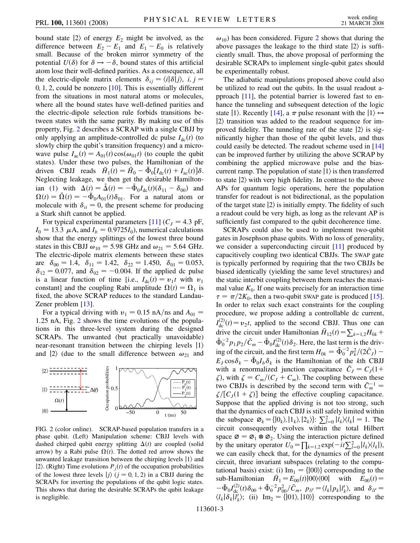bound state  $|2\rangle$  of energy  $E_2$  might be involved, as the difference between  $E_2 - E_1$  and  $E_1 - E_0$  is relatively small. Because of the broken mirror symmetry of the potential  $U(\delta)$  for  $\delta \rightarrow -\delta$ , bound states of this artificial atom lose their well-defined parities. As a consequence, all the electric-dipole matrix elements  $\delta_{ij} = \langle i | \delta | j \rangle$ , *i*, *j* = 0*;* 1*;* 2, could be nonzero [\[10](#page-3-9)]. This is essentially different from the situations in most natural atoms or molecules, where all the bound states have well-defined parities and the electric-dipole selection rule forbids transitions between states with the same parity. By making use of this property, Fig. [2](#page-2-0) describes a SCRAP with a single CBJJ by only applying an amplitude-controlled dc pulse  $I_{dc}(t)$  (to slowly chirp the qubit's transition frequency) and a microwave pulse  $I_{ac}(t) = A_{01}(t) \cos(\omega_{01}t)$  (to couple the qubit states). Under these two pulses, the Hamiltonian of the driven CBJJ reads  $\tilde{H}_1(t) = \tilde{H}_0 - \tilde{\Phi}_0[I_{\text{dc}}(t) + I_{\text{ac}}(t)]\delta.$ Neglecting leakage, we then get the desirable Hamilton-ian ([1\)](#page-1-0) with  $\Delta(t) = \tilde{\Delta}(t) = -\tilde{\Phi}_0 I_{\text{dc}}(t) (\delta_{11} - \delta_{00})$  and  $\Omega(t) = \tilde{\Omega}(t) = -\tilde{\Phi}_0 A_{01}(t) \delta_{01}$ . For a natural atom or molecule with  $\delta_{ii} = 0$ , the present scheme for producing a Stark shift cannot be applied.

For typical experimental parameters [[11](#page-3-10)]  $(C_J = 4.3 \text{ pF})$ ,  $I_0 = 13.3 \mu$ A, and  $I_b = 0.9725 I_0$ , numerical calculations show that the energy splittings of the lowest three bound states in this CBJJ  $\omega_{10} = 5.98$  GHz and  $\omega_{21} = 5.64$  GHz. The electric-dipole matrix elements between these states are  $\delta_{00} = 1.4$ ,  $\delta_{11} = 1.42$ ,  $\delta_{22} = 1.450$ ,  $\delta_{01} = 0.053$ ,  $\delta_{12} = 0.077$ , and  $\delta_{02} = -0.004$ . If the applied dc pulse is a linear function of time [i.e.,  $I_{dc}(t) = v_1 t$  with  $v_1$ constant] and the coupling Rabi amplitude  $\Omega(t) = \Omega_1$  is fixed, the above SCRAP reduces to the standard Landau-Zener problem [[13](#page-3-12)].

For a typical driving with  $v_1 = 0.15$  nA/ns and  $A_{01} =$ 1*:*25 nA, Fig. [2](#page-2-0) shows the time evolutions of the populations in this three-level system during the designed SCRAPs. The unwanted (but practically unavoidable) near-resonant transition between the chirping levels  $|1\rangle$ and  $|2\rangle$  (due to the small difference between  $\omega_{21}$  and

<span id="page-2-0"></span>

FIG. 2 (color online). SCRAP-based population transfers in a phase qubit. (Left) Manipulation scheme: CBJJ levels with dashed chirped qubit energy splitting  $\Delta(t)$  are coupled (solid arrow) by a Rabi pulse  $\Omega(t)$ . The dotted red arrow shows the unwanted leakage transition between the chirping levels  $|1\rangle$  and  $|2\rangle$ . (Right) Time evolutions  $P_j(t)$  of the occupation probabilities of the lowest three levels  $|j\rangle$  ( $j = 0, 1, 2$ ) in a CBJJ during the SCRAPs for inverting the populations of the qubit logic states. This shows that during the desirable SCRAPs the qubit leakage is negligible.

 $\omega_{10}$ ) has been considered. Figure [2](#page-2-0) shows that during the above passages the leakage to the third state  $|2\rangle$  is sufficiently small. Thus, the above proposal of performing the desirable SCRAPs to implement single-qubit gates should be experimentally robust.

The adiabatic manipulations proposed above could also be utilized to read out the qubits. In the usual readout approach [\[11\]](#page-3-10), the potential barrier is lowered fast to enhance the tunneling and subsequent detection of the logic state |1). Recently [[14](#page-3-13)], a  $\pi$  pulse resonant with the  $|1\rangle \leftrightarrow$  $|2\rangle$  transition was added to the readout sequence for improved fidelity. The tunneling rate of the state  $|2\rangle$  is significantly higher than those of the qubit levels, and thus could easily be detected. The readout scheme used in [\[14\]](#page-3-13) can be improved further by utilizing the above SCRAP by combining the applied microwave pulse and the biascurrent ramp. The population of state  $|1\rangle$  is then transferred to state  $|2\rangle$  with very high fidelity. In contrast to the above APs for quantum logic operations, here the population transfer for readout is not bidirectional, as the population of the target state  $|2\rangle$  is initially empty. The fidelity of such a readout could be very high, as long as the relevant AP is sufficiently fast compared to the qubit decoherence time.

SCRAPs could also be used to implement two-qubit gates in Josephson phase qubits. With no loss of generality, we consider a superconducting circuit [\[11\]](#page-3-10) produced by capacitively coupling two identical CBJJs. The SWAP gate is typically performed by requiring that the two CBJJs be biased identically (yielding the same level structures) and the static interbit coupling between them reaches the maximal value  $K_0$ . If one waits precisely for an interaction time  $\tau = \pi/2K_0$ , then a two-qubit SWAP gate is produced [[15\]](#page-3-14). In order to relax such exact constraints for the coupling procedure, we propose adding a controllable dc current,  $I_{dc}^{(2)}(t) = v_2 t$ , applied to the second CBJJ. Thus one can drive the circuit under Hamiltonian  $\bar{H}_{12}(t) = \sum_{k=1,2} H_{0k} +$  $\tilde{\Phi}_0^{-2} p_1 p_2 / \bar{C}_m - \tilde{\Phi}_0 I_{\text{dc}}^{(2)}(t) \delta_2$ . Here, the last term is the driving of the circuit, and the first term  $H_{0k} = \tilde{\Phi}_0^{-2} p_k^2 / (2 \bar{C}_J)$  –  $E_J \cos \delta_k - \tilde{\Phi}_0 I_b \delta_k$  is the Hamiltonian of the *k*th CBJJ with a renormalized junction capacitance  $\bar{C}_J = C_J(1 +$  $\zeta$ ), with  $\zeta = C_m / (C_J + C_m)$ . The coupling between these two CBJJs is described by the second term with  $\bar{C}_m^{-1}$  =  $\zeta/[C_J(1+\zeta)]$  being the effective coupling capacitance. Suppose that the applied driving is not too strong, such that the dynamics of each CBJJ is still safely limited within the subspace  $\varnothing_k = \{0_k\}, |1_k\rangle, |2_k\rangle\}$ :  $\sum_{l=0}^{n} |l_k\rangle\langle l_k| = 1$ . The circuit consequently evolves within the total Hilbert space  $\varnothing = \varnothing_1 \otimes \varnothing_2$ . Using the interaction picture defined by the unitary operator  $U_0 = \prod_{k=1,2} \exp(-it \sum_{l=0}^{2} |l_k\rangle\langle l_k|)$ , we can easily check that, for the dynamics of the present circuit, three invariant subspaces (relating to the computational basis) exist: (i)  $\text{Im}_1 = \{|00\rangle\}$  corresponding to the  $\sinh H$  **Hamiltonian**  $\bar{H}_1 = E_{00}(t) |00\rangle\langle00|$  with  $E_{00}(t) =$  $-\tilde{\Phi}_0 I_{\text{dc}}^{(2)}(t)\delta_{00} + \tilde{\Phi}_0^{-2} p_{00}^2/\bar{C}_m$ ,  $p_{ll'} = \langle l_k | p_k | l'_k \rangle$ , and  $\delta_{ll'} =$  $\langle l_k | \delta_k | l'_k \rangle$ ; (ii) Im<sub>2</sub> = {|01}, |10}} corresponding to the